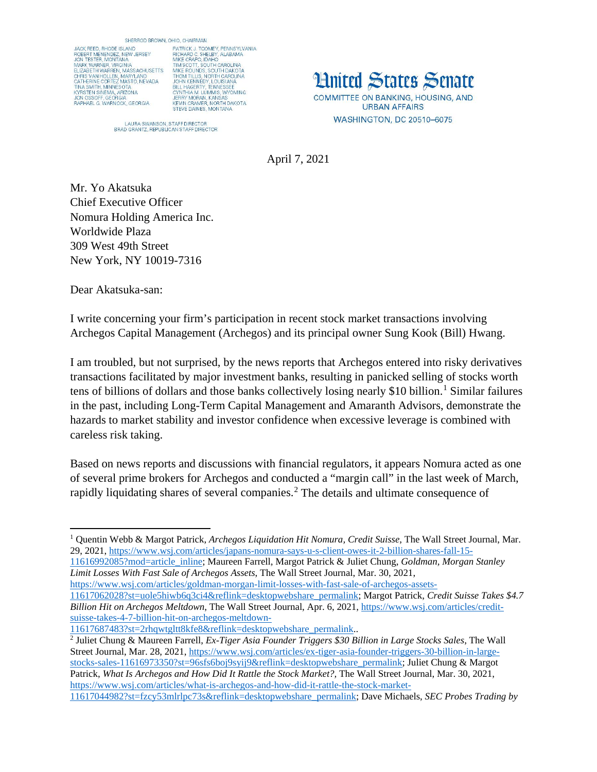SHERROD BROWN, OHIO, CHAIRMAN JACK REED, RHODE ISLAND<br>ROBERT MENENDEZ, NEW JERSEY<br>JON TESTER, MONTANA<br>MARK WARNER, VIRGINIA ELIZABETH WARREN, MASSACHUSETTS ELIZABE I HI WAHNEN, MASS SICHUSE I II<br>CHRIS VAN HOLLEN, MARYLAND<br>CATHERINE CORTEZ MASTO, NEVADA<br>TINA SMITH, MINNESOTA<br>KYRSTEN SINEMA, ARIZONA<br>JON OSSOFF, GEORGIA<br>RAPHAEL G. WARNOCK, GEORGIA

PATRICK J. TOOMEY, PENNSYLVANIA<br>RICHARD C. SHELBY, ALABAMA<br>MIKE CRAPO, IDAHO<br>TIM SCOTT, SOUTH CAROLINA TIM SCOTT, SOUTH CAROLINA<br>MIKE ROUNDS, SOUTH DAKOTA MIKE HOUNDS, SOUTH DAKOTA<br>THOM TILLIS, NORTH CAROLINA<br>JOHN KENNEDY, LOUISIANA<br>BILL HAGERTY, TENNESSEE<br>CYNTHIA M. LUMMIS, WYOMING<br>JERRY MORAN, KANSAS<br>JERRY MORAN, KANSAS<br>STEVIE DAINES, MONTANA<br>STEVE DAINES, MONTANA

LAURA SWANSON, STAFF DIRECTOR<br>BRAD GRANTZ, REPUBLICAN STAFF DIRECTOR

**Hnited States Senate** COMMITTEE ON BANKING, HOUSING, AND **URBAN AFFAIRS** WASHINGTON, DC 20510-6075

April 7, 2021

Mr. Yo Akatsuka Chief Executive Officer Nomura Holding America Inc. Worldwide Plaza 309 West 49th Street New York, NY 10019-7316

Dear Akatsuka-san:

I write concerning your firm's participation in recent stock market transactions involving Archegos Capital Management (Archegos) and its principal owner Sung Kook (Bill) Hwang.

I am troubled, but not surprised, by the news reports that Archegos entered into risky derivatives transactions facilitated by major investment banks, resulting in panicked selling of stocks worth tens of billions of dollars and those banks collectively losing nearly \$[1](#page-0-0)0 billion.<sup>1</sup> Similar failures in the past, including Long-Term Capital Management and Amaranth Advisors, demonstrate the hazards to market stability and investor confidence when excessive leverage is combined with careless risk taking.

Based on news reports and discussions with financial regulators, it appears Nomura acted as one of several prime brokers for Archegos and conducted a "margin call" in the last week of March, rapidly liquidating shares of several companies.<sup>[2](#page-0-1)</sup> The details and ultimate consequence of

[11616992085?mod=article\\_inline;](https://www.wsj.com/articles/japans-nomura-says-u-s-client-owes-it-2-billion-shares-fall-15-11616992085?mod=article_inline) Maureen Farrell, Margot Patrick & Juliet Chung, *Goldman, Morgan Stanley Limit Losses With Fast Sale of Archegos Assets*, The Wall Street Journal, Mar. 30, 2021,

[https://www.wsj.com/articles/goldman-morgan-limit-losses-with-fast-sale-of-archegos-assets-](https://www.wsj.com/articles/goldman-morgan-limit-losses-with-fast-sale-of-archegos-assets-11617062028?st=uole5hiwb6q3ci4&reflink=desktopwebshare_permalink)

[11617062028?st=uole5hiwb6q3ci4&reflink=desktopwebshare\\_permalink;](https://www.wsj.com/articles/goldman-morgan-limit-losses-with-fast-sale-of-archegos-assets-11617062028?st=uole5hiwb6q3ci4&reflink=desktopwebshare_permalink) Margot Patrick, *Credit Suisse Takes \$4.7 Billion Hit on Archegos Meltdown*, The Wall Street Journal, Apr. 6, 2021[, https://www.wsj.com/articles/credit](https://www.wsj.com/articles/credit-suisse-takes-4-7-billion-hit-on-archegos-meltdown-11617687483?st=2rhqwtgltt8kfe8&reflink=desktopwebshare_permalink)[suisse-takes-4-7-billion-hit-on-archegos-meltdown-](https://www.wsj.com/articles/credit-suisse-takes-4-7-billion-hit-on-archegos-meltdown-11617687483?st=2rhqwtgltt8kfe8&reflink=desktopwebshare_permalink)

<span id="page-0-1"></span><sup>2</sup> Juliet Chung & Maureen Farrell, *Ex-Tiger Asia Founder Triggers \$30 Billion in Large Stocks Sales*, The Wall Street Journal, Mar. 28, 2021, [https://www.wsj.com/articles/ex-tiger-asia-founder-triggers-30-billion-in-large](https://www.wsj.com/articles/ex-tiger-asia-founder-triggers-30-billion-in-large-stocks-sales-11616973350?st=96sfs6boj9syij9&reflink=desktopwebshare_permalink)[stocks-sales-11616973350?st=96sfs6boj9syij9&reflink=desktopwebshare\\_permalink;](https://www.wsj.com/articles/ex-tiger-asia-founder-triggers-30-billion-in-large-stocks-sales-11616973350?st=96sfs6boj9syij9&reflink=desktopwebshare_permalink) Juliet Chung & Margot Patrick, *What Is Archegos and How Did It Rattle the Stock Market?,* The Wall Street Journal, Mar. 30, 2021, [https://www.wsj.com/articles/what-is-archegos-and-how-did-it-rattle-the-stock-market-](https://www.wsj.com/articles/what-is-archegos-and-how-did-it-rattle-the-stock-market-11617044982?st=fzcy53mlrlpc73s&reflink=desktopwebshare_permalink)[11617044982?st=fzcy53mlrlpc73s&reflink=desktopwebshare\\_permalink;](https://www.wsj.com/articles/what-is-archegos-and-how-did-it-rattle-the-stock-market-11617044982?st=fzcy53mlrlpc73s&reflink=desktopwebshare_permalink) Dave Michaels, *SEC Probes Trading by* 

<span id="page-0-0"></span> $\overline{a}$ <sup>1</sup> Quentin Webb & Margot Patrick, *Archegos Liquidation Hit Nomura, Credit Suisse*, The Wall Street Journal, Mar. 29, 2021, [https://www.wsj.com/articles/japans-nomura-says-u-s-client-owes-it-2-billion-shares-fall-15-](https://www.wsj.com/articles/japans-nomura-says-u-s-client-owes-it-2-billion-shares-fall-15-11616992085?mod=article_inline)

[<sup>11617687483?</sup>st=2rhqwtgltt8kfe8&reflink=desktopwebshare\\_permalink.](https://www.wsj.com/articles/credit-suisse-takes-4-7-billion-hit-on-archegos-meltdown-11617687483?st=2rhqwtgltt8kfe8&reflink=desktopwebshare_permalink).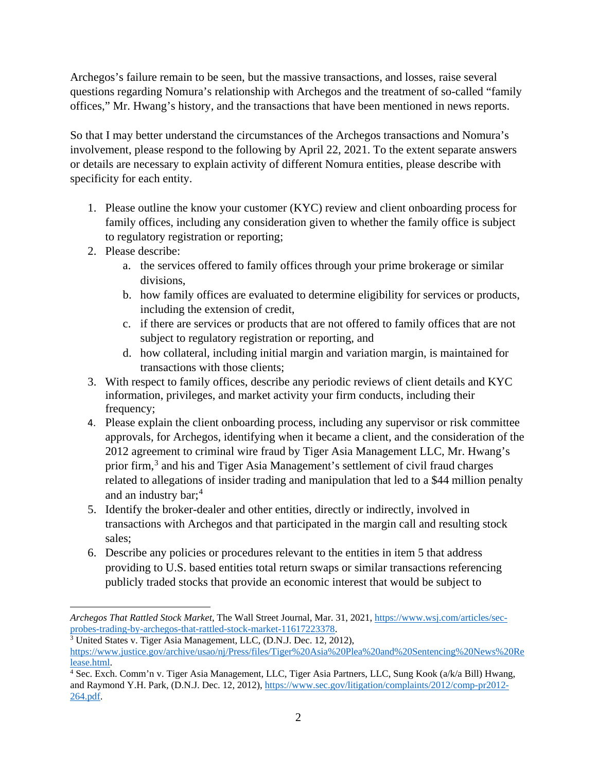Archegos's failure remain to be seen, but the massive transactions, and losses, raise several questions regarding Nomura's relationship with Archegos and the treatment of so-called "family offices," Mr. Hwang's history, and the transactions that have been mentioned in news reports.

So that I may better understand the circumstances of the Archegos transactions and Nomura's involvement, please respond to the following by April 22, 2021. To the extent separate answers or details are necessary to explain activity of different Nomura entities, please describe with specificity for each entity.

- 1. Please outline the know your customer (KYC) review and client onboarding process for family offices, including any consideration given to whether the family office is subject to regulatory registration or reporting;
- 2. Please describe:

 $\overline{\phantom{a}}$ 

- a. the services offered to family offices through your prime brokerage or similar divisions,
- b. how family offices are evaluated to determine eligibility for services or products, including the extension of credit,
- c. if there are services or products that are not offered to family offices that are not subject to regulatory registration or reporting, and
- d. how collateral, including initial margin and variation margin, is maintained for transactions with those clients;
- 3. With respect to family offices, describe any periodic reviews of client details and KYC information, privileges, and market activity your firm conducts, including their frequency;
- 4. Please explain the client onboarding process, including any supervisor or risk committee approvals, for Archegos, identifying when it became a client, and the consideration of the 2012 agreement to criminal wire fraud by Tiger Asia Management LLC, Mr. Hwang's prior firm, [3](#page-1-0) and his and Tiger Asia Management's settlement of civil fraud charges related to allegations of insider trading and manipulation that led to a \$44 million penalty and an industry bar; [4](#page-1-1)
- 5. Identify the broker-dealer and other entities, directly or indirectly, involved in transactions with Archegos and that participated in the margin call and resulting stock sales;
- 6. Describe any policies or procedures relevant to the entities in item 5 that address providing to U.S. based entities total return swaps or similar transactions referencing publicly traded stocks that provide an economic interest that would be subject to

*Archegos That Rattled Stock Market*, The Wall Street Journal, Mar. 31, 2021, [https://www.wsj.com/articles/sec](https://www.wsj.com/articles/sec-probes-trading-by-archegos-that-rattled-stock-market-11617223378)[probes-trading-by-archegos-that-rattled-stock-market-11617223378.](https://www.wsj.com/articles/sec-probes-trading-by-archegos-that-rattled-stock-market-11617223378)

<span id="page-1-0"></span><sup>3</sup> United States v. Tiger Asia Management, LLC, (D.N.J. Dec. 12, 2012), [https://www.justice.gov/archive/usao/nj/Press/files/Tiger%20Asia%20Plea%20and%20Sentencing%20News%20Re](https://www.justice.gov/archive/usao/nj/Press/files/Tiger%20Asia%20Plea%20and%20Sentencing%20News%20Release.html) [lease.html.](https://www.justice.gov/archive/usao/nj/Press/files/Tiger%20Asia%20Plea%20and%20Sentencing%20News%20Release.html)

<span id="page-1-1"></span><sup>4</sup> Sec. Exch. Comm'n v. Tiger Asia Management, LLC, Tiger Asia Partners, LLC, Sung Kook (a/k/a Bill) Hwang, and Raymond Y.H. Park, (D.N.J. Dec. 12, 2012)[, https://www.sec.gov/litigation/complaints/2012/comp-pr2012-](https://www.sec.gov/litigation/complaints/2012/comp-pr2012-264.pdf) [264.pdf.](https://www.sec.gov/litigation/complaints/2012/comp-pr2012-264.pdf)